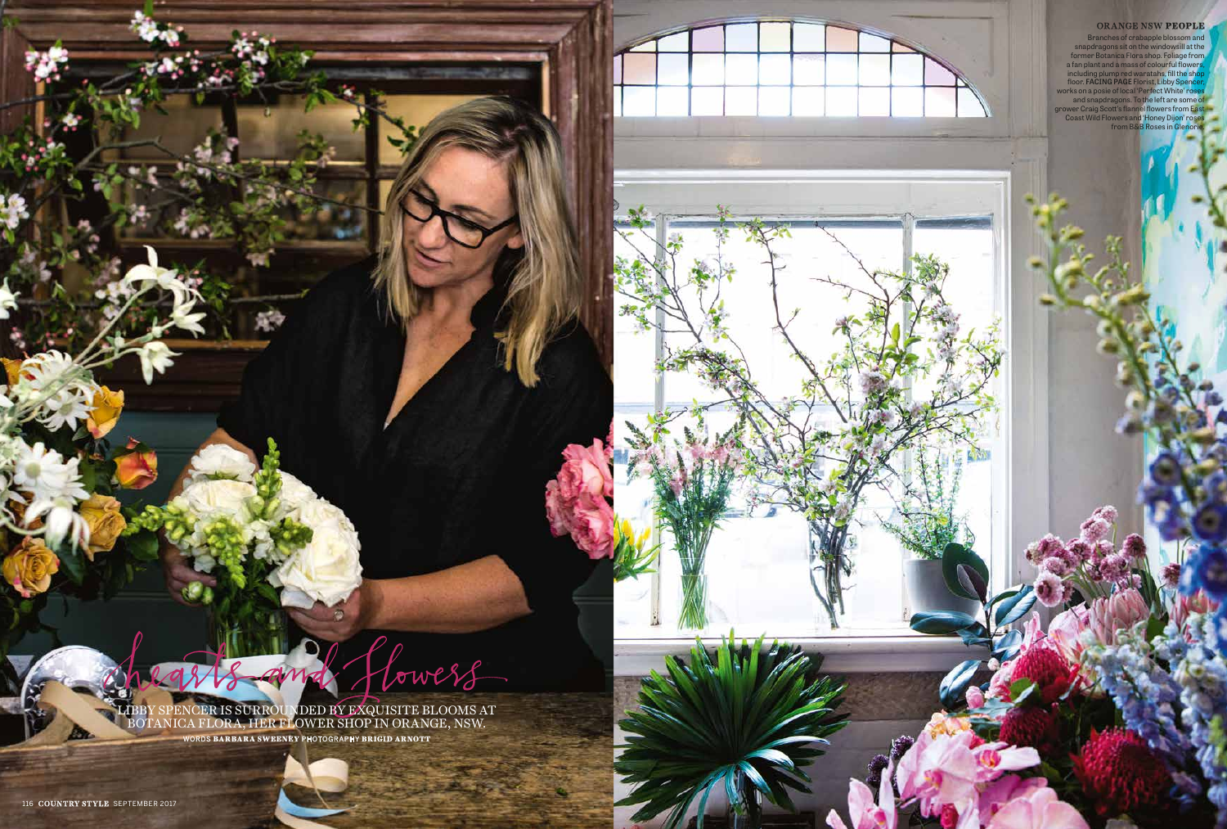LIBBY SPENCER IS SURROUNDED BY EXQUISITE BLOOMS AT BOTANICA FLORA, HER FLOWER SHOP IN ORANGE, NSW. WORDS **BARBARA SWEENEY** PHOTOGRAPHY **BRIGID ARNOTT**

Vowers

Branches of crabapple blossom and snapdragons sit on the windowsill at the former Botanica Flora shop. Foliage from a fan plant and a mass of colourful flowers, including plump red waratahs, fill the shop floor. **FACING PAGE** Florist, Libby Spencer, works on a posie of local 'Perfect White' roses and snapdragons. To the left are some of grower Craig Scott's flannel flowers from East Coast Wild Flowers and 'Honey Dijon' roses from B&B Roses in Glenorie.

## ORANGE NSW **PEOPLE**